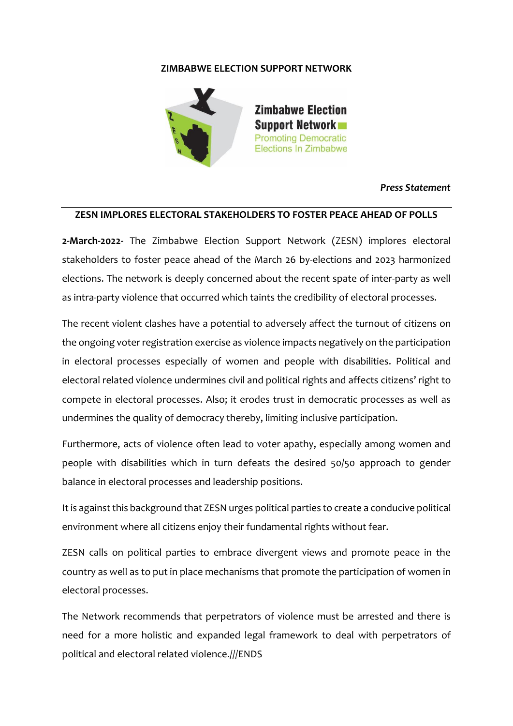## **ZIMBABWE ELECTION SUPPORT NETWORK**



## *Press Statement*

## **ZESN IMPLORES ELECTORAL STAKEHOLDERS TO FOSTER PEACE AHEAD OF POLLS**

**2-March-2022-** The Zimbabwe Election Support Network (ZESN) implores electoral stakeholders to foster peace ahead of the March 26 by-elections and 2023 harmonized elections. The network is deeply concerned about the recent spate of inter-party as well as intra-party violence that occurred which taints the credibility of electoral processes.

The recent violent clashes have a potential to adversely affect the turnout of citizens on the ongoing voter registration exercise as violence impacts negatively on the participation in electoral processes especially of women and people with disabilities. Political and electoral related violence undermines civil and political rights and affects citizens' right to compete in electoral processes. Also; it erodes trust in democratic processes as well as undermines the quality of democracy thereby, limiting inclusive participation.

Furthermore, acts of violence often lead to voter apathy, especially among women and people with disabilities which in turn defeats the desired 50/50 approach to gender balance in electoral processes and leadership positions.

It is against this background that ZESN urges political parties to create a conducive political environment where all citizens enjoy their fundamental rights without fear.

ZESN calls on political parties to embrace divergent views and promote peace in the country as well as to put in place mechanisms that promote the participation of women in electoral processes.

The Network recommends that perpetrators of violence must be arrested and there is need for a more holistic and expanded legal framework to deal with perpetrators of political and electoral related violence.///ENDS